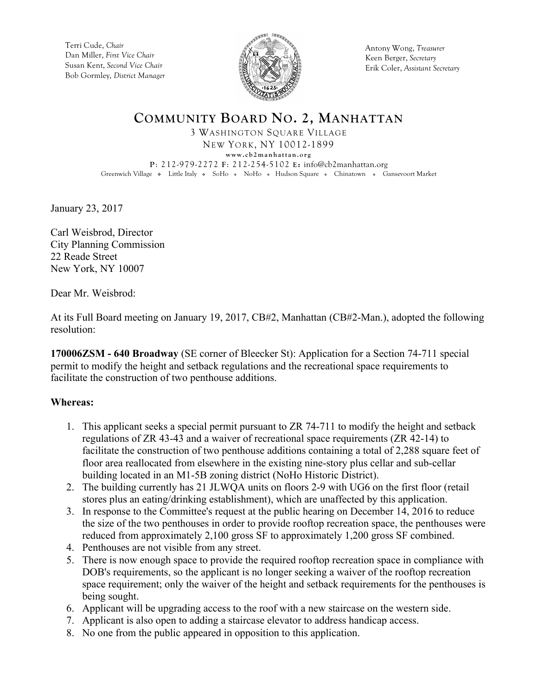Terri Cude, *Chair* Dan Miller, *First Vice Chair* Susan Kent, *Second Vice Chair* Bob Gormley, *District Manager*



Antony Wong, *Treasurer* Keen Berger, *Secretary* Erik Coler, *Assistant Secretary*

## **COMMUNITY BOARD NO. 2, MANHATTAN** 3 WASHINGTON SQUARE VILLAGE NEW YORK, NY 10012-1899 **www.cb2manhattan.org P**: 212-979-2272 **F**: 212-254-5102 **E:** info@cb2manhattan.org Greenwich Village • Little Italy • SoHo • NoHo • Hudson Square • Chinatown • Gansevoort Market

January 23, 2017

Carl Weisbrod, Director City Planning Commission 22 Reade Street New York, NY 10007

Dear Mr. Weisbrod:

At its Full Board meeting on January 19, 2017, CB#2, Manhattan (CB#2-Man.), adopted the following resolution:

**170006ZSM - 640 Broadway** (SE corner of Bleecker St): Application for a Section 74-711 special permit to modify the height and setback regulations and the recreational space requirements to facilitate the construction of two penthouse additions.

## **Whereas:**

- 1. This applicant seeks a special permit pursuant to ZR 74-711 to modify the height and setback regulations of ZR 43-43 and a waiver of recreational space requirements (ZR 42-14) to facilitate the construction of two penthouse additions containing a total of 2,288 square feet of floor area reallocated from elsewhere in the existing nine-story plus cellar and sub-cellar building located in an M1-5B zoning district (NoHo Historic District).
- 2. The building currently has 21 JLWQA units on floors 2-9 with UG6 on the first floor (retail stores plus an eating/drinking establishment), which are unaffected by this application.
- 3. In response to the Committee's request at the public hearing on December 14, 2016 to reduce the size of the two penthouses in order to provide rooftop recreation space, the penthouses were reduced from approximately 2,100 gross SF to approximately 1,200 gross SF combined.
- 4. Penthouses are not visible from any street.
- 5. There is now enough space to provide the required rooftop recreation space in compliance with DOB's requirements, so the applicant is no longer seeking a waiver of the rooftop recreation space requirement; only the waiver of the height and setback requirements for the penthouses is being sought.
- 6. Applicant will be upgrading access to the roof with a new staircase on the western side.
- 7. Applicant is also open to adding a staircase elevator to address handicap access.
- 8. No one from the public appeared in opposition to this application.